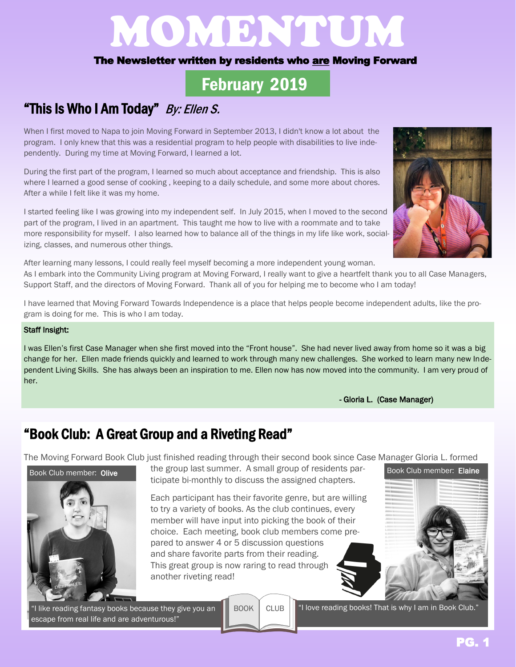# MOMBRIEU

#### The Newsletter written by residents who are Moving Forward

## February 2019

## "This Is Who I Am Today" By: Ellen S.

When I first moved to Napa to join Moving Forward in September 2013, I didn't know a lot about the program. I only knew that this was a residential program to help people with disabilities to live independently. During my time at Moving Forward, I learned a lot.

During the first part of the program, I learned so much about acceptance and friendship. This is also where I learned a good sense of cooking , keeping to a daily schedule, and some more about chores. After a while I felt like it was my home.

I started feeling like I was growing into my independent self. In July 2015, when I moved to the second part of the program, I lived in an apartment. This taught me how to live with a roommate and to take more responsibility for myself. I also learned how to balance all of the things in my life like work, socializing, classes, and numerous other things.

After learning many lessons, I could really feel myself becoming a more independent young woman. As I embark into the Community Living program at Moving Forward, I really want to give a heartfelt thank you to all Case Managers, Support Staff, and the directors of Moving Forward. Thank all of you for helping me to become who I am today!

I have learned that Moving Forward Towards Independence is a place that helps people become independent adults, like the program is doing for me. This is who I am today.

#### Staff Insight:

I was Ellen's first Case Manager when she first moved into the "Front house". She had never lived away from home so it was a big change for her. Ellen made friends quickly and learned to work through many new challenges. She worked to learn many new Independent Living Skills. She has always been an inspiration to me. Ellen now has now moved into the community. I am very proud of her.

- Gloria L. (Case Manager)

#### "Book Club: A Great Group and a Riveting Read"

The Moving Forward Book Club just finished reading through their second book since Case Manager Gloria L. formed



the group last summer. A small group of residents participate bi-monthly to discuss the assigned chapters.

Each participant has their favorite genre, but are willing to try a variety of books. As the club continues, every member will have input into picking the book of their choice. Each meeting, book club members come prepared to answer 4 or 5 discussion questions and share favorite parts from their reading. This great group is now raring to read through another riveting read!

"I like reading fantasy books because they give you an escape from real life and are adventurous!"

BOOK CLUB



"I love reading books! That is why I am in Book Club."